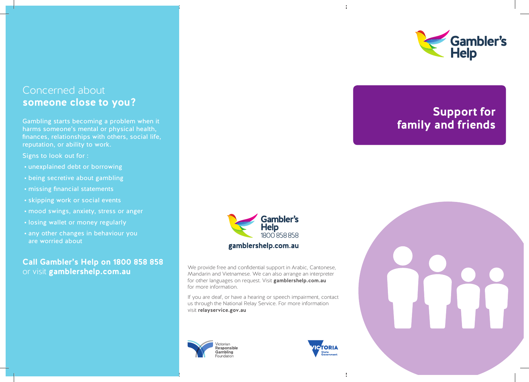### Concerned about **someone close to you?**

Gambling starts becoming a problem when it harms someone's mental or physical health, finances, relationships with others, social life, reputation, or ability to work.

Signs to look out for :

- unexplained debt or borrowing
- being secretive about gambling
- missing financial statements
- skipping work or social events
- mood swings, anxiety, stress or anger
- losing wallet or money regularly
- any other changes in behaviour you are worried about

### **Call Gambler's Help on 1800 858 858**  or visit **gamblershelp.com.au**



We provide free and confidential support in Arabic, Cantonese, Mandarin and Vietnamese. We can also arrange an interpreter for other languages on request. Visit **gamblershelp.com.au** for more information.

If you are deaf, or have a hearing or speech impairment, contact us through the National Relay Service. For more information visit **relayservice.gov.au** 







# **Support for family and friends**